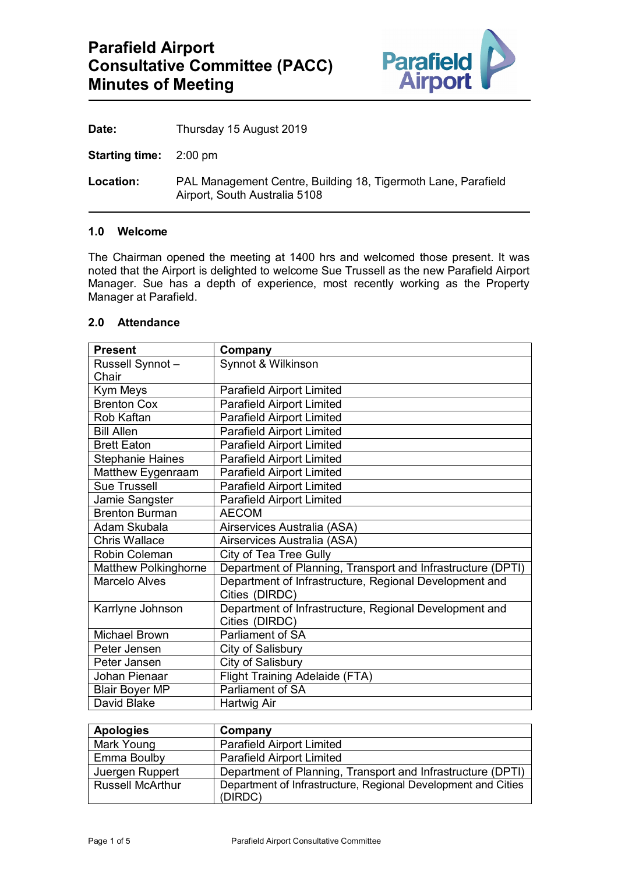

| Date:<br>Thursday 15 August 2019 |  |
|----------------------------------|--|
|----------------------------------|--|

**Starting time:** 2:00 pm

**Location:** PAL Management Centre, Building 18, Tigermoth Lane, Parafield Airport, South Australia 5108

#### **1.0 Welcome**

The Chairman opened the meeting at 1400 hrs and welcomed those present. It was noted that the Airport is delighted to welcome Sue Trussell as the new Parafield Airport Manager. Sue has a depth of experience, most recently working as the Property Manager at Parafield.

| 2.0 | <b>Attendance</b> |
|-----|-------------------|
|-----|-------------------|

| <b>Present</b>              | Company                                                     |
|-----------------------------|-------------------------------------------------------------|
| Russell Synnot-             | Synnot & Wilkinson                                          |
| Chair                       |                                                             |
| Kym Meys                    | <b>Parafield Airport Limited</b>                            |
| <b>Brenton Cox</b>          | <b>Parafield Airport Limited</b>                            |
| Rob Kaftan                  | <b>Parafield Airport Limited</b>                            |
| <b>Bill Allen</b>           | <b>Parafield Airport Limited</b>                            |
| <b>Brett Eaton</b>          | <b>Parafield Airport Limited</b>                            |
| <b>Stephanie Haines</b>     | <b>Parafield Airport Limited</b>                            |
| Matthew Eygenraam           | <b>Parafield Airport Limited</b>                            |
| <b>Sue Trussell</b>         | <b>Parafield Airport Limited</b>                            |
| Jamie Sangster              | <b>Parafield Airport Limited</b>                            |
| <b>Brenton Burman</b>       | <b>AECOM</b>                                                |
| Adam Skubala                | Airservices Australia (ASA)                                 |
| Chris Wallace               | Airservices Australia (ASA)                                 |
| Robin Coleman               | <b>City of Tea Tree Gully</b>                               |
| <b>Matthew Polkinghorne</b> | Department of Planning, Transport and Infrastructure (DPTI) |
| Marcelo Alves               | Department of Infrastructure, Regional Development and      |
|                             | Cities (DIRDC)                                              |
| Karrlyne Johnson            | Department of Infrastructure, Regional Development and      |
|                             | Cities (DIRDC)                                              |
| Michael Brown               | Parliament of SA                                            |
| Peter Jensen                | City of Salisbury                                           |
| Peter Jansen                | City of Salisbury                                           |
| Johan Pienaar               | <b>Flight Training Adelaide (FTA)</b>                       |
| <b>Blair Boyer MP</b>       | <b>Parliament of SA</b>                                     |
| David Blake                 | Hartwig Air                                                 |

| <b>Apologies</b>        | Company                                                                  |
|-------------------------|--------------------------------------------------------------------------|
| Mark Young              | <b>Parafield Airport Limited</b>                                         |
| Emma Boulby             | <b>Parafield Airport Limited</b>                                         |
| Juergen Ruppert         | Department of Planning, Transport and Infrastructure (DPTI)              |
| <b>Russell McArthur</b> | Department of Infrastructure, Regional Development and Cities<br>(DIRDC) |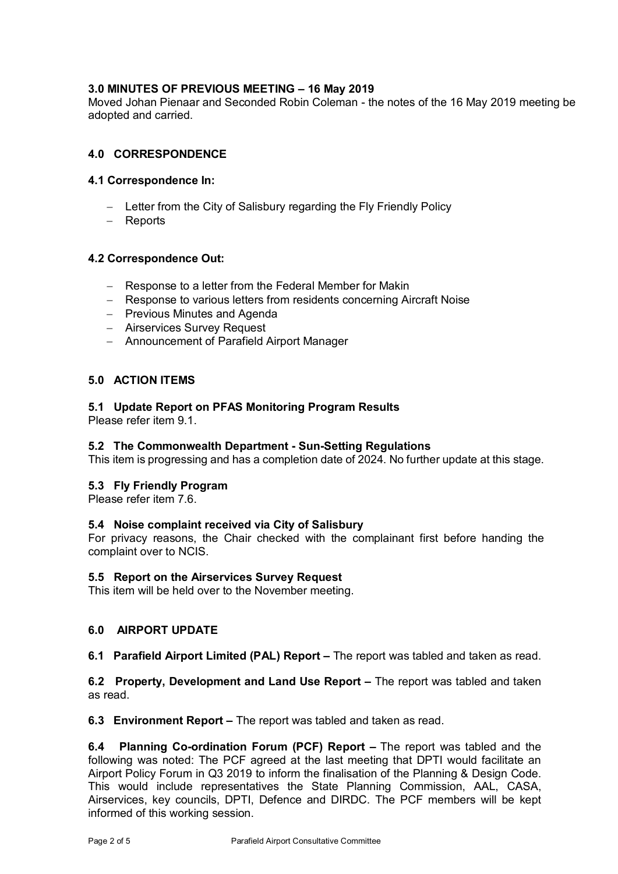## **3.0 MINUTES OF PREVIOUS MEETING – 16 May 2019**

Moved Johan Pienaar and Seconded Robin Coleman - the notes of the 16 May 2019 meeting be adopted and carried.

## **4.0 CORRESPONDENCE**

## **4.1 Correspondence In:**

- − Letter from the City of Salisbury regarding the Fly Friendly Policy
- − Reports

## **4.2 Correspondence Out:**

- − Response to a letter from the Federal Member for Makin
- − Response to various letters from residents concerning Aircraft Noise
- − Previous Minutes and Agenda
- − Airservices Survey Request
- − Announcement of Parafield Airport Manager

## **5.0 ACTION ITEMS**

# **5.1 Update Report on PFAS Monitoring Program Results**

Please refer item 9.1.

## **5.2 The Commonwealth Department - Sun-Setting Regulations**

This item is progressing and has a completion date of 2024. No further update at this stage.

## **5.3 Fly Friendly Program**

Please refer item 7.6.

## **5.4 Noise complaint received via City of Salisbury**

For privacy reasons, the Chair checked with the complainant first before handing the complaint over to NCIS.

#### **5.5 Report on the Airservices Survey Request**

This item will be held over to the November meeting.

## **6.0 AIRPORT UPDATE**

**6.1 Parafield Airport Limited (PAL) Report –** The report was tabled and taken as read.

**6.2 Property, Development and Land Use Report –** The report was tabled and taken as read.

**6.3 Environment Report –** The report was tabled and taken as read.

**6.4 Planning Co-ordination Forum (PCF) Report –** The report was tabled and the following was noted: The PCF agreed at the last meeting that DPTI would facilitate an Airport Policy Forum in Q3 2019 to inform the finalisation of the Planning & Design Code. This would include representatives the State Planning Commission, AAL, CASA, Airservices, key councils, DPTI, Defence and DIRDC. The PCF members will be kept informed of this working session.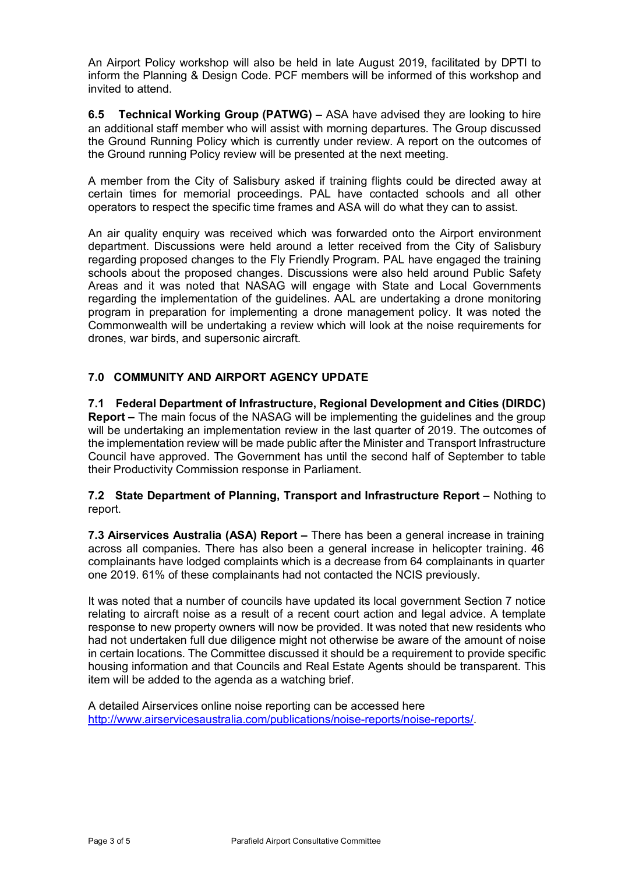An Airport Policy workshop will also be held in late August 2019, facilitated by DPTI to inform the Planning & Design Code. PCF members will be informed of this workshop and invited to attend.

**6.5 Technical Working Group (PATWG) –** ASA have advised they are looking to hire an additional staff member who will assist with morning departures. The Group discussed the Ground Running Policy which is currently under review. A report on the outcomes of the Ground running Policy review will be presented at the next meeting.

A member from the City of Salisbury asked if training flights could be directed away at certain times for memorial proceedings. PAL have contacted schools and all other operators to respect the specific time frames and ASA will do what they can to assist.

An air quality enquiry was received which was forwarded onto the Airport environment department. Discussions were held around a letter received from the City of Salisbury regarding proposed changes to the Fly Friendly Program. PAL have engaged the training schools about the proposed changes. Discussions were also held around Public Safety Areas and it was noted that NASAG will engage with State and Local Governments regarding the implementation of the guidelines. AAL are undertaking a drone monitoring program in preparation for implementing a drone management policy. It was noted the Commonwealth will be undertaking a review which will look at the noise requirements for drones, war birds, and supersonic aircraft.

# **7.0 COMMUNITY AND AIRPORT AGENCY UPDATE**

**7.1 Federal Department of Infrastructure, Regional Development and Cities (DIRDC) Report –** The main focus of the NASAG will be implementing the guidelines and the group will be undertaking an implementation review in the last quarter of 2019. The outcomes of the implementation review will be made public after the Minister and Transport Infrastructure Council have approved. The Government has until the second half of September to table their Productivity Commission response in Parliament.

**7.2 State Department of Planning, Transport and Infrastructure Report –** Nothing to report.

**7.3 Airservices Australia (ASA) Report –** There has been a general increase in training across all companies. There has also been a general increase in helicopter training. 46 complainants have lodged complaints which is a decrease from 64 complainants in quarter one 2019. 61% of these complainants had not contacted the NCIS previously.

It was noted that a number of councils have updated its local government Section 7 notice relating to aircraft noise as a result of a recent court action and legal advice. A template response to new property owners will now be provided. It was noted that new residents who had not undertaken full due diligence might not otherwise be aware of the amount of noise in certain locations. The Committee discussed it should be a requirement to provide specific housing information and that Councils and Real Estate Agents should be transparent. This item will be added to the agenda as a watching brief.

A detailed Airservices online noise reporting can be accessed here [http://www.airservicesaustralia.com/publications/noise-reports/noise-reports/.](http://www.airservicesaustralia.com/publications/noise-reports/noise-reports/)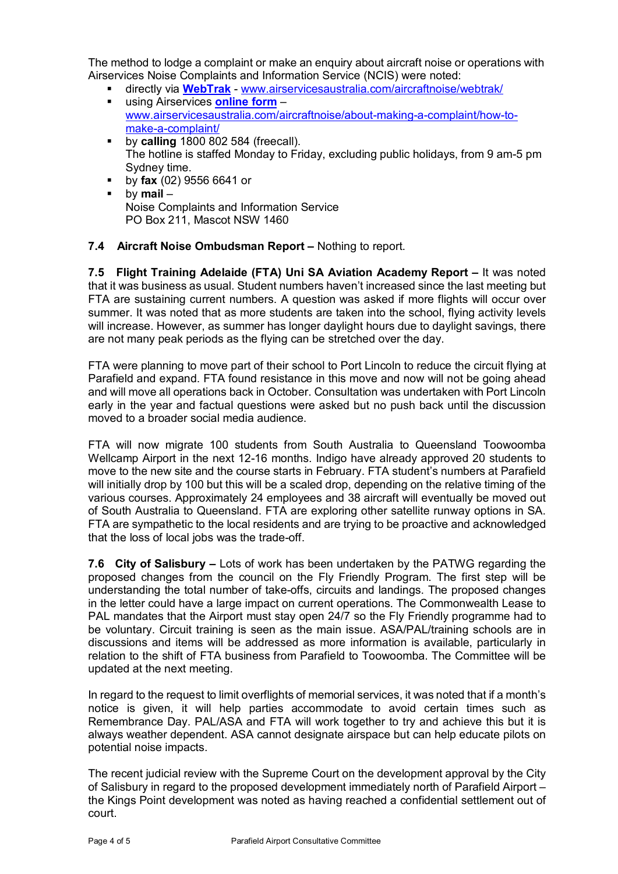The method to lodge a complaint or make an enquiry about aircraft noise or operations with Airservices Noise Complaints and Information Service (NCIS) were noted:

- directly via **[WebTrak](http://www.airservicesaustralia.com/aircraftnoise/webtrak/)** [www.airservicesaustralia.com/aircraftnoise/webtrak/](http://www.airservicesaustralia.com/aircraftnoise/webtrak/)
- using Airservices **[online form](https://complaints.bksv.com/asa)** [www.airservicesaustralia.com/aircraftnoise/about-making-a-complaint/how-to](http://www.airservicesaustralia.com/aircraftnoise/about-making-a-complaint/how-to-make-a-complaint/)[make-a-complaint/](http://www.airservicesaustralia.com/aircraftnoise/about-making-a-complaint/how-to-make-a-complaint/)
- **by calling** 1800 802 584 (freecall). The hotline is staffed Monday to Friday, excluding public holidays, from 9 am-5 pm Sydney time.
- by **fax** (02) 9556 6641 or by **mail** – Noise Complaints and Information Service PO Box 211, Mascot NSW 1460

# **7.4 Aircraft Noise Ombudsman Report –** Nothing to report.

**7.5 Flight Training Adelaide (FTA) Uni SA Aviation Academy Report –** It was noted that it was business as usual. Student numbers haven't increased since the last meeting but FTA are sustaining current numbers. A question was asked if more flights will occur over summer. It was noted that as more students are taken into the school, flying activity levels will increase. However, as summer has longer daylight hours due to daylight savings, there are not many peak periods as the flying can be stretched over the day.

FTA were planning to move part of their school to Port Lincoln to reduce the circuit flying at Parafield and expand. FTA found resistance in this move and now will not be going ahead and will move all operations back in October. Consultation was undertaken with Port Lincoln early in the year and factual questions were asked but no push back until the discussion moved to a broader social media audience.

FTA will now migrate 100 students from South Australia to Queensland Toowoomba Wellcamp Airport in the next 12-16 months. Indigo have already approved 20 students to move to the new site and the course starts in February. FTA student's numbers at Parafield will initially drop by 100 but this will be a scaled drop, depending on the relative timing of the various courses. Approximately 24 employees and 38 aircraft will eventually be moved out of South Australia to Queensland. FTA are exploring other satellite runway options in SA. FTA are sympathetic to the local residents and are trying to be proactive and acknowledged that the loss of local jobs was the trade-off.

**7.6 City of Salisbury –** Lots of work has been undertaken by the PATWG regarding the proposed changes from the council on the Fly Friendly Program. The first step will be understanding the total number of take-offs, circuits and landings. The proposed changes in the letter could have a large impact on current operations. The Commonwealth Lease to PAL mandates that the Airport must stay open 24/7 so the Fly Friendly programme had to be voluntary. Circuit training is seen as the main issue. ASA/PAL/training schools are in discussions and items will be addressed as more information is available, particularly in relation to the shift of FTA business from Parafield to Toowoomba. The Committee will be updated at the next meeting.

In regard to the request to limit overflights of memorial services, it was noted that if a month's notice is given, it will help parties accommodate to avoid certain times such as Remembrance Day. PAL/ASA and FTA will work together to try and achieve this but it is always weather dependent. ASA cannot designate airspace but can help educate pilots on potential noise impacts.

The recent judicial review with the Supreme Court on the development approval by the City of Salisbury in regard to the proposed development immediately north of Parafield Airport – the Kings Point development was noted as having reached a confidential settlement out of court.